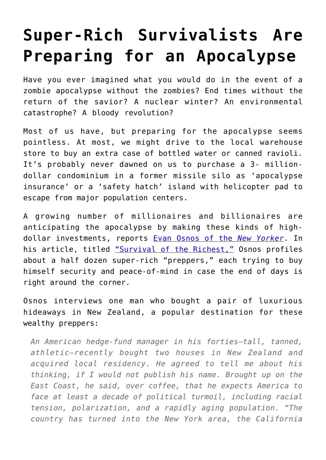## **[Super-Rich Survivalists Are](https://intellectualtakeout.org/2017/01/super-rich-survivalists-are-preparing-for-an-apocalypse/) [Preparing for an Apocalypse](https://intellectualtakeout.org/2017/01/super-rich-survivalists-are-preparing-for-an-apocalypse/)**

Have you ever imagined what you would do in the event of a zombie apocalypse without the zombies? End times without the return of the savior? A nuclear winter? An environmental catastrophe? A bloody revolution?

Most of us have, but preparing for the apocalypse seems pointless. At most, we might drive to the local warehouse store to buy an extra case of bottled water or canned ravioli. It's probably never dawned on us to purchase a 3- milliondollar condominium in a former missile silo as 'apocalypse insurance' or a 'safety hatch' island with helicopter pad to escape from major population centers.

A growing number of millionaires and billionaires are anticipating the apocalypse by making these kinds of highdollar investments, reports [Evan Osnos of the](http://www.newyorker.com/contributors/evan-osnos) *[New Yorker](http://www.newyorker.com/contributors/evan-osnos)*. In his article, titled ["Survival of the Richest,"](http://www.newyorker.com/magazine/2017/01/30/doomsday-prep-for-the-super-rich) Osnos profiles about a half dozen super-rich "preppers," each trying to buy himself security and peace-of-mind in case the end of days is right around the corner.

Osnos interviews one man who bought a pair of luxurious hideaways in New Zealand, a popular destination for these wealthy preppers:

*An American hedge-fund manager in his forties—tall, tanned, athletic—recently bought two houses in New Zealand and acquired local residency. He agreed to tell me about his thinking, if I would not publish his name. Brought up on the East Coast, he said, over coffee, that he expects America to face at least a decade of political turmoil, including racial tension, polarization, and a rapidly aging population. "The country has turned into the New York area, the California*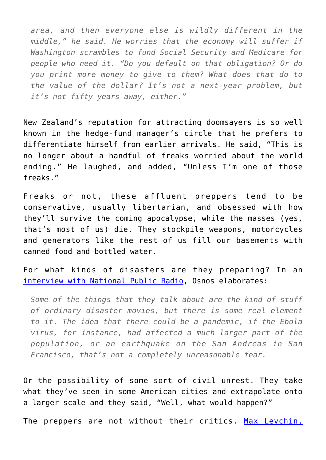*area, and then everyone else is wildly different in the middle," he said. He worries that the economy will suffer if Washington scrambles to fund Social Security and Medicare for people who need it. "Do you default on that obligation? Or do you print more money to give to them? What does that do to the value of the dollar? It's not a next-year problem, but it's not fifty years away, either."*

New Zealand's reputation for attracting doomsayers is so well known in the hedge-fund manager's circle that he prefers to differentiate himself from earlier arrivals. He said, "This is no longer about a handful of freaks worried about the world ending." He laughed, and added, "Unless I'm one of those freaks."

Freaks or not, these affluent preppers tend to be conservative, usually libertarian, and obsessed with how they'll survive the coming apocalypse, while the masses (yes, that's most of us) die. They stockpile weapons, motorcycles and generators like the rest of us fill our basements with canned food and bottled water.

For what kinds of disasters are they preparing? In an [interview with National Public Radio](http://www.npr.org/2017/01/25/511507434/why-some-silicon-valley-tech-executives-are-bunkering-down-for-doomsday), Osnos elaborates:

*Some of the things that they talk about are the kind of stuff of ordinary disaster movies, but there is some real element to it. The idea that there could be a pandemic, if the Ebola virus, for instance, had affected a much larger part of the population, or an earthquake on the San Andreas in San Francisco, that's not a completely unreasonable fear.*

Or the possibility of some sort of civil unrest. They take what they've seen in some American cities and extrapolate onto a larger scale and they said, "Well, what would happen?"

The preppers are not without their critics. [Max Levchin,](https://en.wikipedia.org/wiki/Max_Levchin)